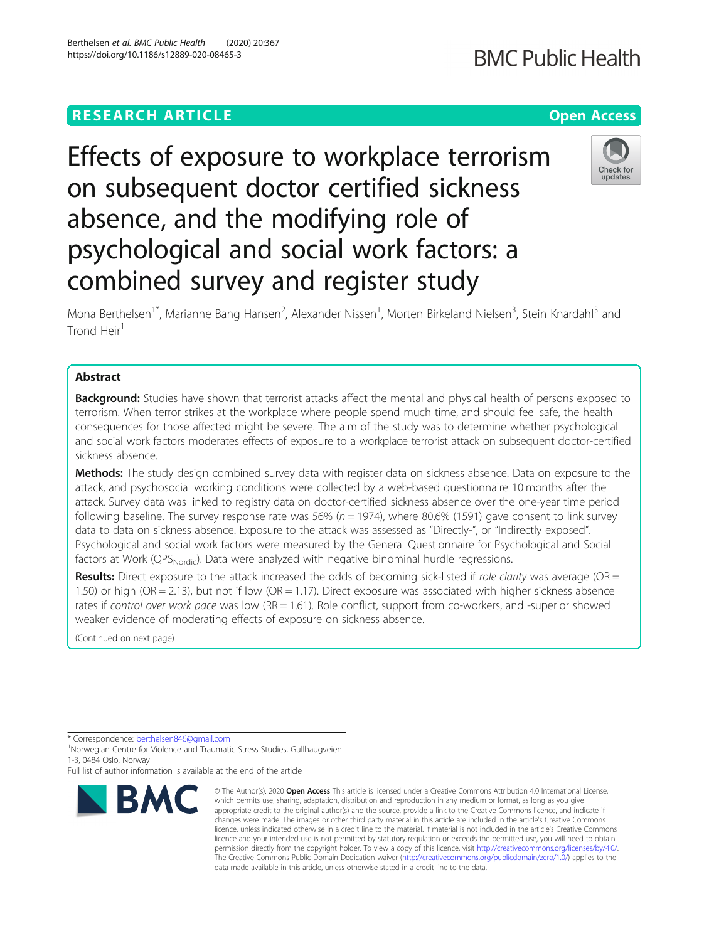# **RESEARCH ARTICLE Example 2014 12:30 The Contract of Contract ACCESS**

# Effects of exposure to workplace terrorism on subsequent doctor certified sickness absence, and the modifying role of psychological and social work factors: a combined survey and register study

Mona Berthelsen<sup>1\*</sup>, Marianne Bang Hansen<sup>2</sup>, Alexander Nissen<sup>1</sup>, Morten Birkeland Nielsen<sup>3</sup>, Stein Knardahl<sup>3</sup> and Trond Heir<sup>1</sup>

# Abstract

**Background:** Studies have shown that terrorist attacks affect the mental and physical health of persons exposed to terrorism. When terror strikes at the workplace where people spend much time, and should feel safe, the health consequences for those affected might be severe. The aim of the study was to determine whether psychological and social work factors moderates effects of exposure to a workplace terrorist attack on subsequent doctor-certified sickness absence.

Methods: The study design combined survey data with register data on sickness absence. Data on exposure to the attack, and psychosocial working conditions were collected by a web-based questionnaire 10 months after the attack. Survey data was linked to registry data on doctor-certified sickness absence over the one-year time period following baseline. The survey response rate was 56% ( $n = 1974$ ), where 80.6% (1591) gave consent to link survey data to data on sickness absence. Exposure to the attack was assessed as "Directly-", or "Indirectly exposed". Psychological and social work factors were measured by the General Questionnaire for Psychological and Social factors at Work (QPS<sub>Nordic</sub>). Data were analyzed with negative binominal hurdle regressions.

**Results:** Direct exposure to the attack increased the odds of becoming sick-listed if role clarity was average (OR = 1.50) or high (OR = 2.13), but not if low (OR = 1.17). Direct exposure was associated with higher sickness absence rates if control over work pace was low (RR = 1.61). Role conflict, support from co-workers, and -superior showed weaker evidence of moderating effects of exposure on sickness absence.

(Continued on next page)



<sup>©</sup> The Author(s), 2020 **Open Access** This article is licensed under a Creative Commons Attribution 4.0 International License, which permits use, sharing, adaptation, distribution and reproduction in any medium or format, as long as you give appropriate credit to the original author(s) and the source, provide a link to the Creative Commons licence, and indicate if changes were made. The images or other third party material in this article are included in the article's Creative Commons licence, unless indicated otherwise in a credit line to the material. If material is not included in the article's Creative Commons licence and your intended use is not permitted by statutory regulation or exceeds the permitted use, you will need to obtain permission directly from the copyright holder. To view a copy of this licence, visit [http://creativecommons.org/licenses/by/4.0/.](http://creativecommons.org/licenses/by/4.0/) The Creative Commons Public Domain Dedication waiver [\(http://creativecommons.org/publicdomain/zero/1.0/](http://creativecommons.org/publicdomain/zero/1.0/)) applies to the data made available in this article, unless otherwise stated in a credit line to the data.





undates

<sup>\*</sup> Correspondence: [berthelsen846@gmail.com](mailto:berthelsen846@gmail.com) <sup>1</sup>

<sup>&</sup>lt;sup>1</sup>Norwegian Centre for Violence and Traumatic Stress Studies, Gullhaugveien 1-3, 0484 Oslo, Norway

Full list of author information is available at the end of the article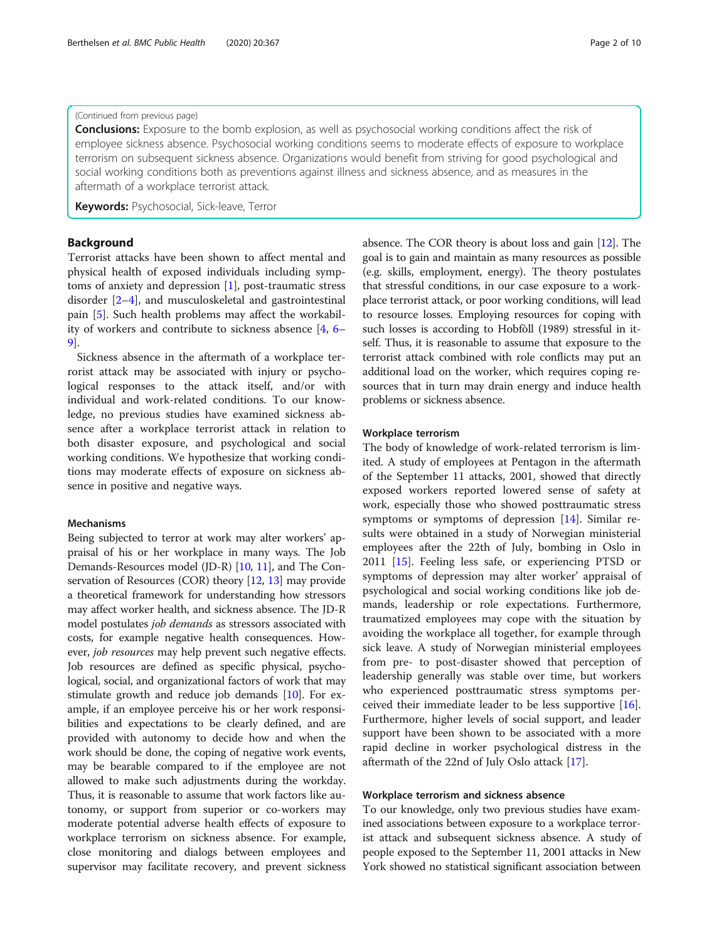# (Continued from previous page)

**Conclusions:** Exposure to the bomb explosion, as well as psychosocial working conditions affect the risk of employee sickness absence. Psychosocial working conditions seems to moderate effects of exposure to workplace terrorism on subsequent sickness absence. Organizations would benefit from striving for good psychological and social working conditions both as preventions against illness and sickness absence, and as measures in the aftermath of a workplace terrorist attack.

Keywords: Psychosocial, Sick-leave, Terror

# Background

Terrorist attacks have been shown to affect mental and physical health of exposed individuals including symptoms of anxiety and depression [\[1](#page-9-0)], post-traumatic stress disorder [\[2](#page-9-0)–[4\]](#page-9-0), and musculoskeletal and gastrointestinal pain [\[5](#page-9-0)]. Such health problems may affect the workability of workers and contribute to sickness absence [\[4](#page-9-0), [6](#page-9-0)– [9\]](#page-9-0).

Sickness absence in the aftermath of a workplace terrorist attack may be associated with injury or psychological responses to the attack itself, and/or with individual and work-related conditions. To our knowledge, no previous studies have examined sickness absence after a workplace terrorist attack in relation to both disaster exposure, and psychological and social working conditions. We hypothesize that working conditions may moderate effects of exposure on sickness absence in positive and negative ways.

#### Mechanisms

Being subjected to terror at work may alter workers' appraisal of his or her workplace in many ways. The Job Demands-Resources model (JD-R) [[10,](#page-9-0) [11](#page-9-0)], and The Conservation of Resources (COR) theory [\[12](#page-9-0), [13\]](#page-9-0) may provide a theoretical framework for understanding how stressors may affect worker health, and sickness absence. The JD-R model postulates job demands as stressors associated with costs, for example negative health consequences. However, job resources may help prevent such negative effects. Job resources are defined as specific physical, psychological, social, and organizational factors of work that may stimulate growth and reduce job demands [[10](#page-9-0)]. For example, if an employee perceive his or her work responsibilities and expectations to be clearly defined, and are provided with autonomy to decide how and when the work should be done, the coping of negative work events, may be bearable compared to if the employee are not allowed to make such adjustments during the workday. Thus, it is reasonable to assume that work factors like autonomy, or support from superior or co-workers may moderate potential adverse health effects of exposure to workplace terrorism on sickness absence. For example, close monitoring and dialogs between employees and supervisor may facilitate recovery, and prevent sickness

absence. The COR theory is about loss and gain [[12](#page-9-0)]. The goal is to gain and maintain as many resources as possible (e.g. skills, employment, energy). The theory postulates that stressful conditions, in our case exposure to a workplace terrorist attack, or poor working conditions, will lead to resource losses. Employing resources for coping with such losses is according to Hobfòll (1989) stressful in itself. Thus, it is reasonable to assume that exposure to the terrorist attack combined with role conflicts may put an additional load on the worker, which requires coping resources that in turn may drain energy and induce health problems or sickness absence.

# Workplace terrorism

The body of knowledge of work-related terrorism is limited. A study of employees at Pentagon in the aftermath of the September 11 attacks, 2001, showed that directly exposed workers reported lowered sense of safety at work, especially those who showed posttraumatic stress symptoms or symptoms of depression [[14\]](#page-9-0). Similar results were obtained in a study of Norwegian ministerial employees after the 22th of July, bombing in Oslo in 2011 [[15](#page-9-0)]. Feeling less safe, or experiencing PTSD or symptoms of depression may alter worker' appraisal of psychological and social working conditions like job demands, leadership or role expectations. Furthermore, traumatized employees may cope with the situation by avoiding the workplace all together, for example through sick leave. A study of Norwegian ministerial employees from pre- to post-disaster showed that perception of leadership generally was stable over time, but workers who experienced posttraumatic stress symptoms perceived their immediate leader to be less supportive [\[16](#page-9-0)]. Furthermore, higher levels of social support, and leader support have been shown to be associated with a more rapid decline in worker psychological distress in the aftermath of the 22nd of July Oslo attack [\[17\]](#page-9-0).

# Workplace terrorism and sickness absence

To our knowledge, only two previous studies have examined associations between exposure to a workplace terrorist attack and subsequent sickness absence. A study of people exposed to the September 11, 2001 attacks in New York showed no statistical significant association between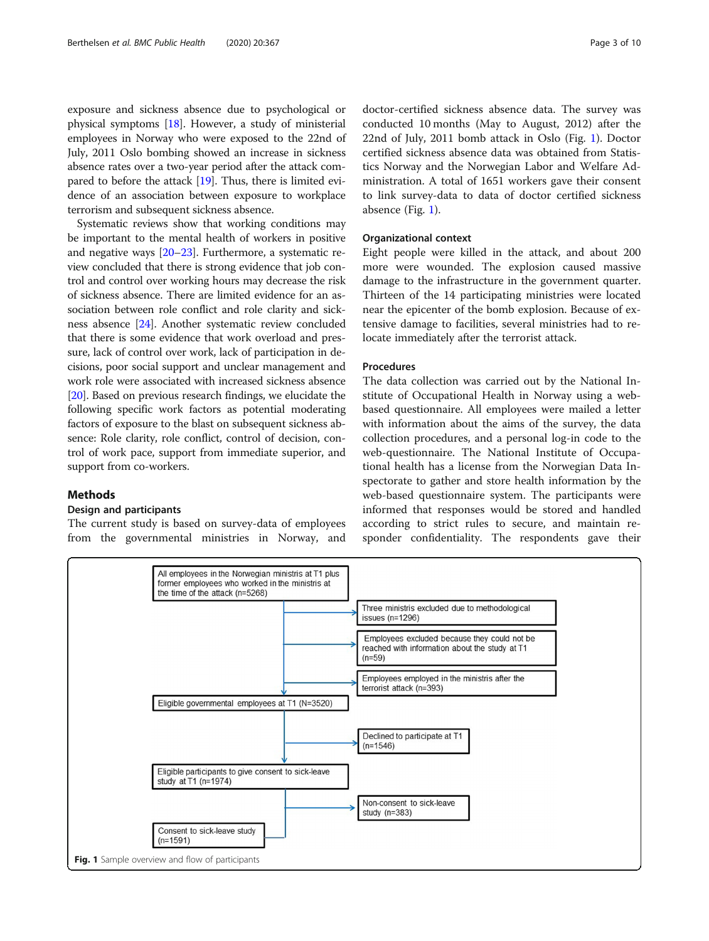<span id="page-2-0"></span>exposure and sickness absence due to psychological or physical symptoms [\[18\]](#page-9-0). However, a study of ministerial employees in Norway who were exposed to the 22nd of July, 2011 Oslo bombing showed an increase in sickness absence rates over a two-year period after the attack compared to before the attack [[19](#page-9-0)]. Thus, there is limited evidence of an association between exposure to workplace terrorism and subsequent sickness absence.

Systematic reviews show that working conditions may be important to the mental health of workers in positive and negative ways [[20](#page-9-0)–[23\]](#page-9-0). Furthermore, a systematic review concluded that there is strong evidence that job control and control over working hours may decrease the risk of sickness absence. There are limited evidence for an association between role conflict and role clarity and sickness absence [[24](#page-9-0)]. Another systematic review concluded that there is some evidence that work overload and pressure, lack of control over work, lack of participation in decisions, poor social support and unclear management and work role were associated with increased sickness absence [[20](#page-9-0)]. Based on previous research findings, we elucidate the following specific work factors as potential moderating factors of exposure to the blast on subsequent sickness absence: Role clarity, role conflict, control of decision, control of work pace, support from immediate superior, and support from co-workers.

#### Methods

#### Design and participants

The current study is based on survey-data of employees from the governmental ministries in Norway, and

doctor-certified sickness absence data. The survey was conducted 10 months (May to August, 2012) after the 22nd of July, 2011 bomb attack in Oslo (Fig. 1). Doctor certified sickness absence data was obtained from Statistics Norway and the Norwegian Labor and Welfare Administration. A total of 1651 workers gave their consent to link survey-data to data of doctor certified sickness absence (Fig. 1).

# Organizational context

Eight people were killed in the attack, and about 200 more were wounded. The explosion caused massive damage to the infrastructure in the government quarter. Thirteen of the 14 participating ministries were located near the epicenter of the bomb explosion. Because of extensive damage to facilities, several ministries had to relocate immediately after the terrorist attack.

#### Procedures

The data collection was carried out by the National Institute of Occupational Health in Norway using a webbased questionnaire. All employees were mailed a letter with information about the aims of the survey, the data collection procedures, and a personal log-in code to the web-questionnaire. The National Institute of Occupational health has a license from the Norwegian Data Inspectorate to gather and store health information by the web-based questionnaire system. The participants were informed that responses would be stored and handled according to strict rules to secure, and maintain responder confidentiality. The respondents gave their

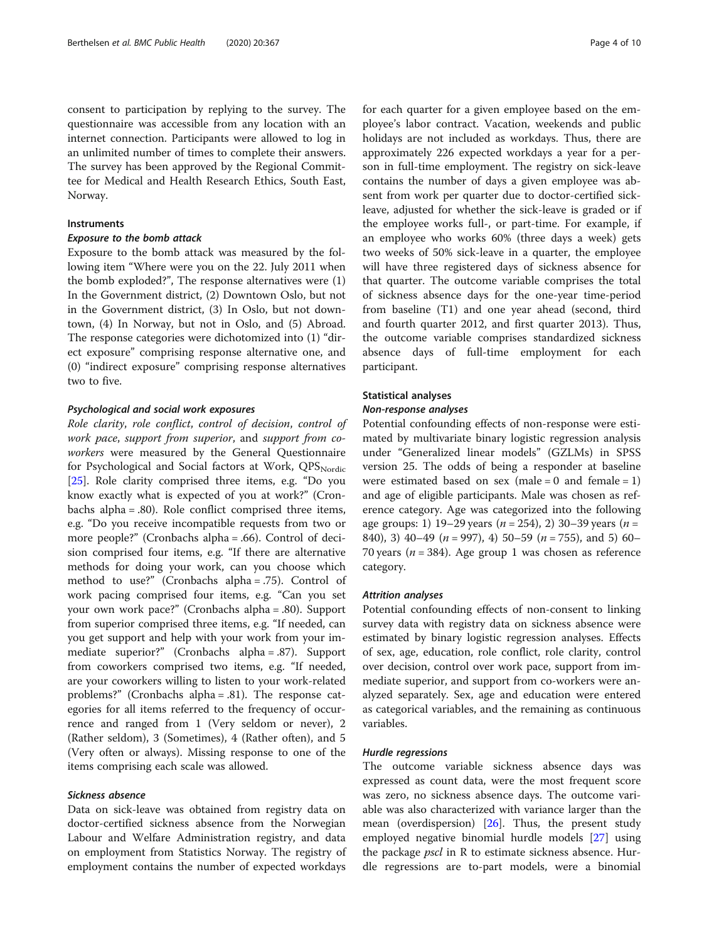consent to participation by replying to the survey. The questionnaire was accessible from any location with an internet connection. Participants were allowed to log in an unlimited number of times to complete their answers. The survey has been approved by the Regional Committee for Medical and Health Research Ethics, South East, Norway.

# **Instruments**

# Exposure to the bomb attack

Exposure to the bomb attack was measured by the following item "Where were you on the 22. July 2011 when the bomb exploded?", The response alternatives were (1) In the Government district, (2) Downtown Oslo, but not in the Government district, (3) In Oslo, but not downtown, (4) In Norway, but not in Oslo, and (5) Abroad. The response categories were dichotomized into (1) "direct exposure" comprising response alternative one, and (0) "indirect exposure" comprising response alternatives two to five.

## Psychological and social work exposures

Role clarity, role conflict, control of decision, control of work pace, support from superior, and support from coworkers were measured by the General Questionnaire for Psychological and Social factors at Work, QPSNordic [[25\]](#page-9-0). Role clarity comprised three items, e.g. "Do you know exactly what is expected of you at work?" (Cronbachs alpha = .80). Role conflict comprised three items, e.g. "Do you receive incompatible requests from two or more people?" (Cronbachs alpha = .66). Control of decision comprised four items, e.g. "If there are alternative methods for doing your work, can you choose which method to use?" (Cronbachs alpha = .75). Control of work pacing comprised four items, e.g. "Can you set your own work pace?" (Cronbachs alpha = .80). Support from superior comprised three items, e.g. "If needed, can you get support and help with your work from your immediate superior?" (Cronbachs alpha = .87). Support from coworkers comprised two items, e.g. "If needed, are your coworkers willing to listen to your work-related problems?" (Cronbachs alpha = .81). The response categories for all items referred to the frequency of occurrence and ranged from 1 (Very seldom or never), 2 (Rather seldom), 3 (Sometimes), 4 (Rather often), and 5 (Very often or always). Missing response to one of the items comprising each scale was allowed.

#### Sickness absence

Data on sick-leave was obtained from registry data on doctor-certified sickness absence from the Norwegian Labour and Welfare Administration registry, and data on employment from Statistics Norway. The registry of employment contains the number of expected workdays for each quarter for a given employee based on the employee's labor contract. Vacation, weekends and public holidays are not included as workdays. Thus, there are approximately 226 expected workdays a year for a person in full-time employment. The registry on sick-leave contains the number of days a given employee was absent from work per quarter due to doctor-certified sickleave, adjusted for whether the sick-leave is graded or if the employee works full-, or part-time. For example, if an employee who works 60% (three days a week) gets two weeks of 50% sick-leave in a quarter, the employee will have three registered days of sickness absence for that quarter. The outcome variable comprises the total of sickness absence days for the one-year time-period from baseline (T1) and one year ahead (second, third and fourth quarter 2012, and first quarter 2013). Thus, the outcome variable comprises standardized sickness absence days of full-time employment for each participant.

# Statistical analyses

# Non-response analyses

Potential confounding effects of non-response were estimated by multivariate binary logistic regression analysis under "Generalized linear models" (GZLMs) in SPSS version 25. The odds of being a responder at baseline were estimated based on sex (male =  $0$  and female =  $1$ ) and age of eligible participants. Male was chosen as reference category. Age was categorized into the following age groups: 1) 19–29 years ( $n = 254$ ), 2) 30–39 years ( $n =$ 840), 3) 40–49 ( $n = 997$ ), 4) 50–59 ( $n = 755$ ), and 5) 60– 70 years ( $n = 384$ ). Age group 1 was chosen as reference category.

#### Attrition analyses

Potential confounding effects of non-consent to linking survey data with registry data on sickness absence were estimated by binary logistic regression analyses. Effects of sex, age, education, role conflict, role clarity, control over decision, control over work pace, support from immediate superior, and support from co-workers were analyzed separately. Sex, age and education were entered as categorical variables, and the remaining as continuous variables.

# Hurdle regressions

The outcome variable sickness absence days was expressed as count data, were the most frequent score was zero, no sickness absence days. The outcome variable was also characterized with variance larger than the mean (overdispersion)  $[26]$  $[26]$ . Thus, the present study employed negative binomial hurdle models [[27](#page-9-0)] using the package *pscl* in R to estimate sickness absence. Hurdle regressions are to-part models, were a binomial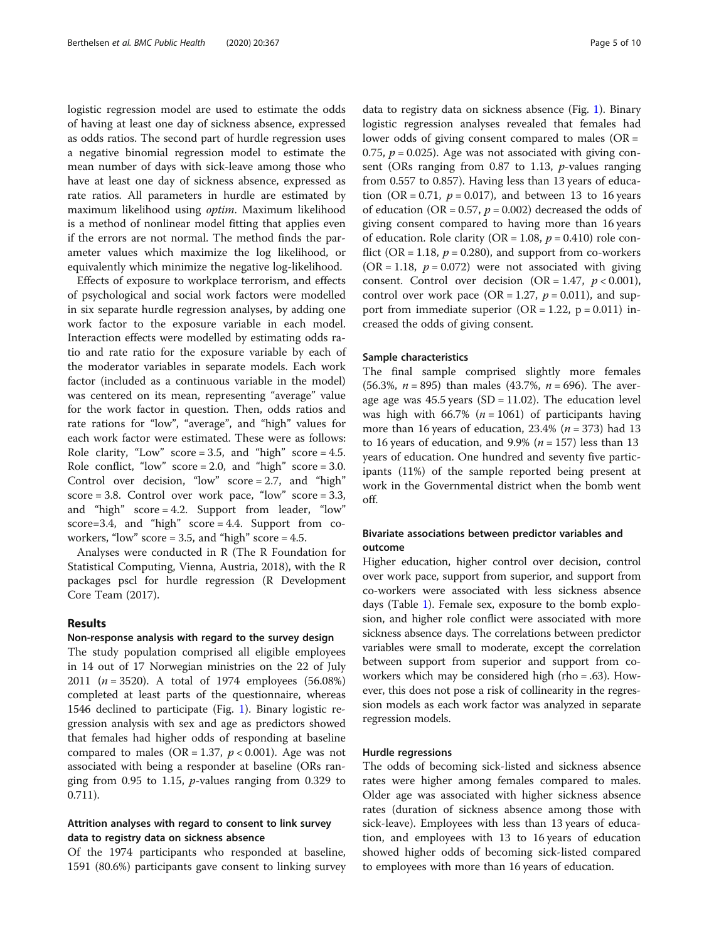logistic regression model are used to estimate the odds of having at least one day of sickness absence, expressed as odds ratios. The second part of hurdle regression uses a negative binomial regression model to estimate the mean number of days with sick-leave among those who have at least one day of sickness absence, expressed as rate ratios. All parameters in hurdle are estimated by maximum likelihood using optim. Maximum likelihood is a method of nonlinear model fitting that applies even if the errors are not normal. The method finds the parameter values which maximize the log likelihood, or equivalently which minimize the negative log-likelihood.

Effects of exposure to workplace terrorism, and effects of psychological and social work factors were modelled in six separate hurdle regression analyses, by adding one work factor to the exposure variable in each model. Interaction effects were modelled by estimating odds ratio and rate ratio for the exposure variable by each of the moderator variables in separate models. Each work factor (included as a continuous variable in the model) was centered on its mean, representing "average" value for the work factor in question. Then, odds ratios and rate rations for "low", "average", and "high" values for each work factor were estimated. These were as follows: Role clarity, "Low" score =  $3.5$ , and "high" score =  $4.5$ . Role conflict, "low"  $score = 2.0$ , and "high"  $score = 3.0$ . Control over decision, "low"  $score = 2.7$ , and "high" score = 3.8. Control over work pace, "low" score =  $3.3$ , and "high" score = 4.2. Support from leader, "low" score=3.4, and "high" score =  $4.4$ . Support from coworkers, "low" score =  $3.5$ , and "high" score =  $4.5$ .

Analyses were conducted in R (The R Foundation for Statistical Computing, Vienna, Austria, 2018), with the R packages pscl for hurdle regression (R Development Core Team (2017).

#### Results

# Non-response analysis with regard to the survey design

The study population comprised all eligible employees in 14 out of 17 Norwegian ministries on the 22 of July 2011 ( $n = 3520$ ). A total of 1974 employees (56.08%) completed at least parts of the questionnaire, whereas 1546 declined to participate (Fig. [1\)](#page-2-0). Binary logistic regression analysis with sex and age as predictors showed that females had higher odds of responding at baseline compared to males (OR = 1.37,  $p < 0.001$ ). Age was not associated with being a responder at baseline (ORs ranging from 0.95 to 1.15,  $p$ -values ranging from 0.329 to 0.711).

# Attrition analyses with regard to consent to link survey data to registry data on sickness absence

Of the 1974 participants who responded at baseline, 1591 (80.6%) participants gave consent to linking survey data to registry data on sickness absence (Fig. [1](#page-2-0)). Binary logistic regression analyses revealed that females had lower odds of giving consent compared to males ( $OR =$ 0.75,  $p = 0.025$ ). Age was not associated with giving consent (ORs ranging from  $0.87$  to 1.13, *p*-values ranging from 0.557 to 0.857). Having less than 13 years of education (OR = 0.71,  $p = 0.017$ ), and between 13 to 16 years of education (OR = 0.57,  $p = 0.002$ ) decreased the odds of giving consent compared to having more than 16 years of education. Role clarity (OR = 1.08,  $p = 0.410$ ) role conflict (OR = 1.18,  $p = 0.280$ ), and support from co-workers  $(OR = 1.18, p = 0.072)$  were not associated with giving consent. Control over decision  $(OR = 1.47, p < 0.001)$ , control over work pace (OR = 1.27,  $p = 0.011$ ), and support from immediate superior  $(OR = 1.22, p = 0.011)$  increased the odds of giving consent.

# Sample characteristics

The final sample comprised slightly more females (56.3%,  $n = 895$ ) than males (43.7%,  $n = 696$ ). The average age was  $45.5$  years (SD = 11.02). The education level was high with 66.7% ( $n = 1061$ ) of participants having more than 16 years of education,  $23.4\%$  ( $n = 373$ ) had 13 to 16 years of education, and 9.9% ( $n = 157$ ) less than 13 years of education. One hundred and seventy five participants (11%) of the sample reported being present at work in the Governmental district when the bomb went off.

# Bivariate associations between predictor variables and outcome

Higher education, higher control over decision, control over work pace, support from superior, and support from co-workers were associated with less sickness absence days (Table [1\)](#page-5-0). Female sex, exposure to the bomb explosion, and higher role conflict were associated with more sickness absence days. The correlations between predictor variables were small to moderate, except the correlation between support from superior and support from coworkers which may be considered high (rho = .63). However, this does not pose a risk of collinearity in the regression models as each work factor was analyzed in separate regression models.

# Hurdle regressions

The odds of becoming sick-listed and sickness absence rates were higher among females compared to males. Older age was associated with higher sickness absence rates (duration of sickness absence among those with sick-leave). Employees with less than 13 years of education, and employees with 13 to 16 years of education showed higher odds of becoming sick-listed compared to employees with more than 16 years of education.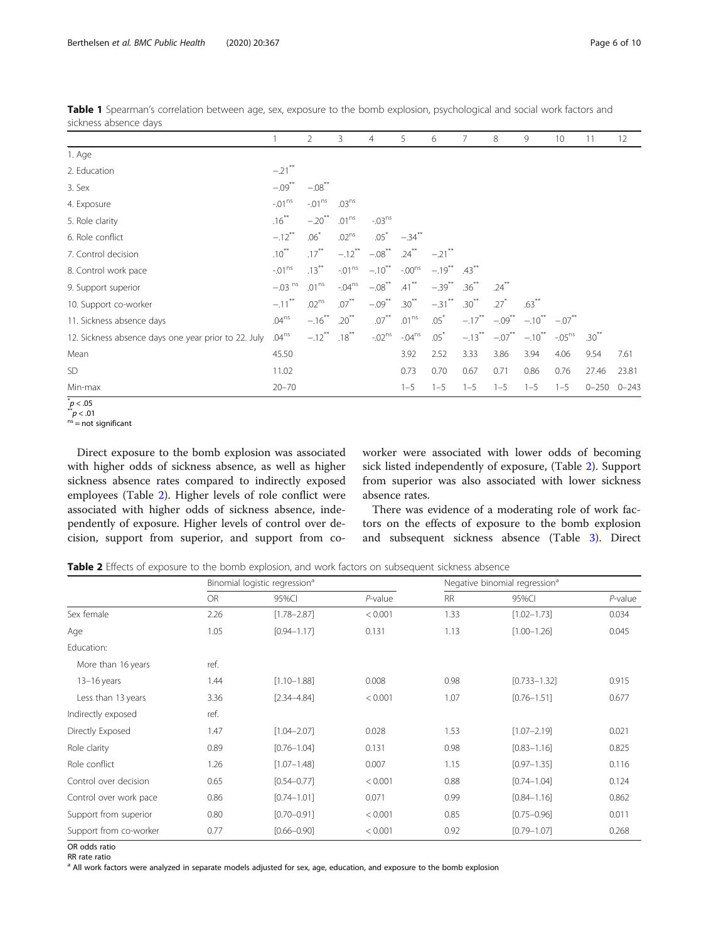|                                                      |                      | 2                    | 3                    | 4                    | 5                    | 6                    | 7          | 8        | 9                                   | 10                | 11        | 12        |
|------------------------------------------------------|----------------------|----------------------|----------------------|----------------------|----------------------|----------------------|------------|----------|-------------------------------------|-------------------|-----------|-----------|
| 1. Age                                               |                      |                      |                      |                      |                      |                      |            |          |                                     |                   |           |           |
| 2. Education                                         | $-.21$ **            |                      |                      |                      |                      |                      |            |          |                                     |                   |           |           |
| 3. Sex                                               | $-.09***$            | $-.08$ <sup>**</sup> |                      |                      |                      |                      |            |          |                                     |                   |           |           |
| 4. Exposure                                          | $-01^{ns}$           | $-01^{\text{ns}}$    | .03 <sup>ns</sup>    |                      |                      |                      |            |          |                                     |                   |           |           |
| 5. Role clarity                                      | $.16***$             | $-.20$ <sup>**</sup> | .01 <sup>ns</sup>    | $-03^{ns}$           |                      |                      |            |          |                                     |                   |           |           |
| 6. Role conflict                                     | $-.12$ <sup>**</sup> | $.06*$               | .02 <sup>ns</sup>    | $.05*$               | $-.34$ <sup>**</sup> |                      |            |          |                                     |                   |           |           |
| 7. Control decision                                  | $.10***$             | $.17***$             | $-.12$ <sup>**</sup> | $-.08$ <sup>**</sup> | $.24***$             | $-.21$ <sup>**</sup> |            |          |                                     |                   |           |           |
| 8. Control work pace                                 | $-01^{\text{ns}}$    | $.13***$             | $-01^{\text{ns}}$    | $-.10***$            | $-.00^{ns}$          | $-.19$ <sup>**</sup> | $.43***$   |          |                                     |                   |           |           |
| 9. Support superior                                  | $-.03$ <sup>ns</sup> | .01 <sup>ns</sup>    | $-.04ns$             | $-.08$ <sup>**</sup> | $.41$ <sup>**</sup>  | $-.39$ <sup>**</sup> | $.36^{**}$ | $.24***$ |                                     |                   |           |           |
| 10. Support co-worker                                | $-.11$ <sup>**</sup> | .02 <sup>ns</sup>    | $.07***$             | $-.09***$            | $.30***$             | $-.31$ <sup>**</sup> | $.30***$   | $.27*$   | $.63***$                            |                   |           |           |
| 11. Sickness absence days                            | .04 <sup>ns</sup>    | $-.16***$            | $.20***$             | $.07***$             | .01 <sup>ns</sup>    | $.05*$               | $-.17***$  |          | $-.09^{**}$ $-.10^{**}$ $-.07^{**}$ |                   |           |           |
| 12. Sickness absence days one year prior to 22. July | .04 <sup>ns</sup>    | $-.12$ <sup>**</sup> | $.18***$             | $-02^{ns}$           | $-04^{ns}$           | $.05*$               |            |          | $-.13$ ** $-.07$ ** $-.10$ **       | $-05^{\text{ns}}$ | $.30***$  |           |
| Mean                                                 | 45.50                |                      |                      |                      | 3.92                 | 2.52                 | 3.33       | 3.86     | 3.94                                | 4.06              | 9.54      | 7.61      |
| <b>SD</b>                                            | 11.02                |                      |                      |                      | 0.73                 | 0.70                 | 0.67       | 0.71     | 0.86                                | 0.76              | 27.46     | 23.81     |
| Min-max                                              | $20 - 70$            |                      |                      |                      | $1 - 5$              | $1 - 5$              | $1 - 5$    | $1 - 5$  | $1 - 5$                             | $1 - 5$           | $0 - 250$ | $0 - 243$ |

<span id="page-5-0"></span>Table 1 Spearman's correlation between age, sex, exposure to the bomb explosion, psychological and social work factors and sickness absence days

 $p < .05$ 

 $p^* = 01$ <br>  $n = not significant$ 

Direct exposure to the bomb explosion was associated with higher odds of sickness absence, as well as higher sickness absence rates compared to indirectly exposed employees (Table 2). Higher levels of role conflict were associated with higher odds of sickness absence, independently of exposure. Higher levels of control over decision, support from superior, and support from coworker were associated with lower odds of becoming sick listed independently of exposure, (Table 2). Support from superior was also associated with lower sickness absence rates.

There was evidence of a moderating role of work factors on the effects of exposure to the bomb explosion and subsequent sickness absence (Table [3](#page-6-0)). Direct

Table 2 Effects of exposure to the bomb explosion, and work factors on subsequent sickness absence

|                        |           | Binomial logistic regression <sup>a</sup> |            | Negative binomial regression <sup>a</sup> |                  |            |  |  |
|------------------------|-----------|-------------------------------------------|------------|-------------------------------------------|------------------|------------|--|--|
|                        | <b>OR</b> | 95%CI                                     | $P$ -value | <b>RR</b>                                 | 95%CI            | $P$ -value |  |  |
| Sex female             | 2.26      | $[1.78 - 2.87]$                           | < 0.001    | 1.33                                      | $[1.02 - 1.73]$  | 0.034      |  |  |
| Age                    | 1.05      | $[0.94 - 1.17]$                           | 0.131      | 1.13                                      | $[1.00 - 1.26]$  | 0.045      |  |  |
| Education:             |           |                                           |            |                                           |                  |            |  |  |
| More than 16 years     | ref.      |                                           |            |                                           |                  |            |  |  |
| $13-16$ years          | 1.44      | $[1.10 - 1.88]$                           | 0.008      | 0.98                                      | $[0.733 - 1.32]$ | 0.915      |  |  |
| Less than 13 years     | 3.36      | $[2.34 - 4.84]$                           | < 0.001    | 1.07                                      | $[0.76 - 1.51]$  | 0.677      |  |  |
| Indirectly exposed     | ref.      |                                           |            |                                           |                  |            |  |  |
| Directly Exposed       | 1.47      | $[1.04 - 2.07]$                           | 0.028      | 1.53                                      | $[1.07 - 2.19]$  | 0.021      |  |  |
| Role clarity           | 0.89      | $[0.76 - 1.04]$                           | 0.131      | 0.98                                      | $[0.83 - 1.16]$  | 0.825      |  |  |
| Role conflict          | 1.26      | $[1.07 - 1.48]$                           | 0.007      | 1.15                                      | $[0.97 - 1.35]$  | 0.116      |  |  |
| Control over decision  | 0.65      | $[0.54 - 0.77]$                           | < 0.001    | 0.88                                      | $[0.74 - 1.04]$  | 0.124      |  |  |
| Control over work pace | 0.86      | $[0.74 - 1.01]$                           | 0.071      | 0.99                                      | $[0.84 - 1.16]$  | 0.862      |  |  |
| Support from superior  | 0.80      | $[0.70 - 0.91]$                           | < 0.001    | 0.85                                      | $[0.75 - 0.96]$  | 0.011      |  |  |
| Support from co-worker | 0.77      | $[0.66 - 0.90]$                           | < 0.001    | 0.92                                      | $[0.79 - 1.07]$  | 0.268      |  |  |

OR odds ratio RR rate ratio

<sup>a</sup> All work factors were analyzed in separate models adjusted for sex, age, education, and exposure to the bomb explosion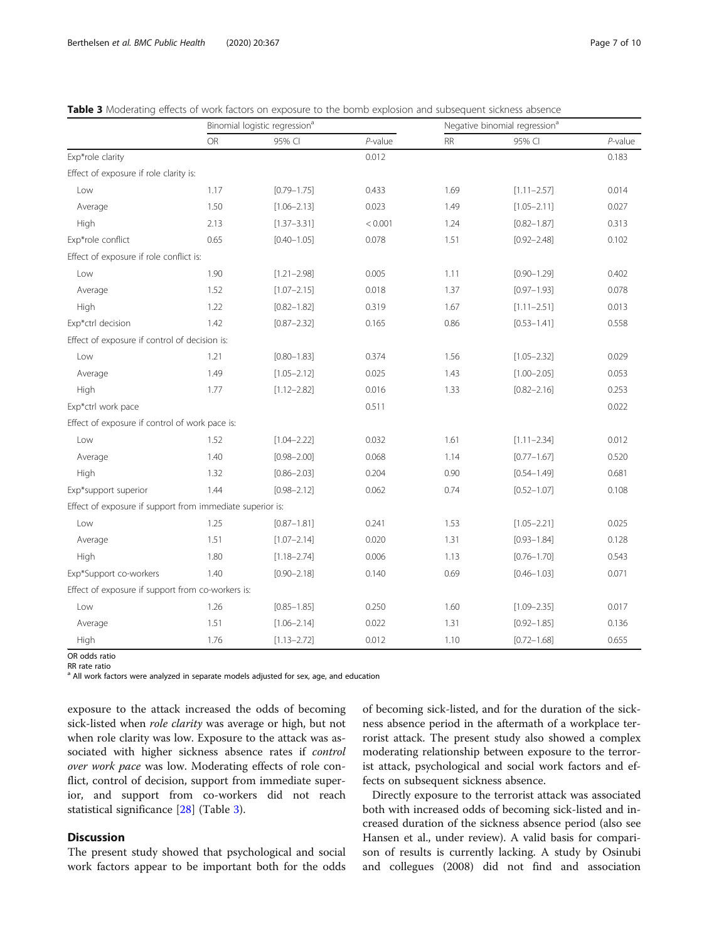<span id="page-6-0"></span>

|  | Table 3 Moderating effects of work factors on exposure to the bomb explosion and subsequent sickness absence |
|--|--------------------------------------------------------------------------------------------------------------|
|--|--------------------------------------------------------------------------------------------------------------|

|                                                           |           | Binomial logistic regression <sup>a</sup> |                                  |           | Negative binomial regression <sup>a</sup> |            |  |  |  |
|-----------------------------------------------------------|-----------|-------------------------------------------|----------------------------------|-----------|-------------------------------------------|------------|--|--|--|
|                                                           | <b>OR</b> | 95% CI                                    | $P$ -value                       | <b>RR</b> | 95% CI                                    | $P$ -value |  |  |  |
| Exp*role clarity                                          |           |                                           | 0.012                            |           |                                           | 0.183      |  |  |  |
| Effect of exposure if role clarity is:                    |           |                                           |                                  |           |                                           |            |  |  |  |
| Low                                                       | 1.17      | $[0.79 - 1.75]$                           | 0.433                            | 1.69      | $[1.11 - 2.57]$                           | 0.014      |  |  |  |
| Average                                                   | 1.50      | $[1.06 - 2.13]$                           | 0.023                            | 1.49      | $[1.05 - 2.11]$                           | 0.027      |  |  |  |
| High                                                      | 2.13      | $[1.37 - 3.31]$                           | < 0.001                          | 1.24      | $[0.82 - 1.87]$                           | 0.313      |  |  |  |
| Exp*role conflict                                         | 0.65      | $[0.40 - 1.05]$                           | 0.078                            | 1.51      | $[0.92 - 2.48]$                           | 0.102      |  |  |  |
| Effect of exposure if role conflict is:                   |           |                                           |                                  |           |                                           |            |  |  |  |
| Low                                                       | 1.90      | $[1.21 - 2.98]$                           | 0.005                            | 1.11      | $[0.90 - 1.29]$                           | 0.402      |  |  |  |
| Average                                                   | 1.52      | $[1.07 - 2.15]$                           | 0.018<br>1.37<br>$[0.97 - 1.93]$ |           | 0.078                                     |            |  |  |  |
| High                                                      | 1.22      | $[0.82 - 1.82]$                           | 0.319                            | 1.67      | $[1.11 - 2.51]$                           | 0.013      |  |  |  |
| Exp*ctrl decision                                         | 1.42      | $[0.87 - 2.32]$                           | 0.165                            | 0.86      | $[0.53 - 1.41]$                           | 0.558      |  |  |  |
| Effect of exposure if control of decision is:             |           |                                           |                                  |           |                                           |            |  |  |  |
| Low                                                       | 1.21      | $[0.80 - 1.83]$                           | 0.374                            | 1.56      | $[1.05 - 2.32]$                           | 0.029      |  |  |  |
| Average                                                   | 1.49      | $[1.05 - 2.12]$                           | 0.025                            | 1.43      | $[1.00 - 2.05]$                           | 0.053      |  |  |  |
| High                                                      | 1.77      | $[1.12 - 2.82]$                           | 0.016                            | 1.33      | $[0.82 - 2.16]$                           | 0.253      |  |  |  |
| Exp*ctrl work pace                                        |           |                                           | 0.511                            |           |                                           | 0.022      |  |  |  |
| Effect of exposure if control of work pace is:            |           |                                           |                                  |           |                                           |            |  |  |  |
| Low                                                       | 1.52      | $[1.04 - 2.22]$                           | 0.032                            | 1.61      | $[1.11 - 2.34]$                           | 0.012      |  |  |  |
| Average                                                   | 1.40      | $[0.98 - 2.00]$                           | 0.068                            | 1.14      | $[0.77 - 1.67]$                           | 0.520      |  |  |  |
| High                                                      | 1.32      | $[0.86 - 2.03]$                           | 0.204                            | 0.90      | $[0.54 - 1.49]$                           | 0.681      |  |  |  |
| Exp*support superior                                      | 1.44      | $[0.98 - 2.12]$                           | 0.062                            | 0.74      | $[0.52 - 1.07]$                           | 0.108      |  |  |  |
| Effect of exposure if support from immediate superior is: |           |                                           |                                  |           |                                           |            |  |  |  |
| Low                                                       | 1.25      | $[0.87 - 1.81]$                           | 0.241                            | 1.53      | $[1.05 - 2.21]$                           | 0.025      |  |  |  |
| Average                                                   | 1.51      | $[1.07 - 2.14]$                           | 0.020                            | 1.31      | $[0.93 - 1.84]$                           | 0.128      |  |  |  |
| High                                                      | 1.80      | $[1.18 - 2.74]$                           | 0.006                            | 1.13      | $[0.76 - 1.70]$                           | 0.543      |  |  |  |
| Exp*Support co-workers                                    | 1.40      | $[0.90 - 2.18]$                           | 0.140                            | 0.69      | $[0.46 - 1.03]$                           | 0.071      |  |  |  |
| Effect of exposure if support from co-workers is:         |           |                                           |                                  |           |                                           |            |  |  |  |
| Low                                                       | 1.26      | $[0.85 - 1.85]$                           | 0.250                            | 1.60      | $[1.09 - 2.35]$                           | 0.017      |  |  |  |
| Average                                                   | 1.51      | $[1.06 - 2.14]$                           | 0.022                            | 1.31      | $[0.92 - 1.85]$                           | 0.136      |  |  |  |
| High                                                      | 1.76      | $[1.13 - 2.72]$                           | 0.012                            | 1.10      | $[0.72 - 1.68]$                           | 0.655      |  |  |  |

OR odds ratio

RR rate ratio

<sup>a</sup> All work factors were analyzed in separate models adjusted for sex, age, and education

exposure to the attack increased the odds of becoming sick-listed when *role clarity* was average or high, but not when role clarity was low. Exposure to the attack was associated with higher sickness absence rates if control over work pace was low. Moderating effects of role conflict, control of decision, support from immediate superior, and support from co-workers did not reach statistical significance [\[28\]](#page-9-0) (Table 3).

# Discussion

The present study showed that psychological and social work factors appear to be important both for the odds of becoming sick-listed, and for the duration of the sickness absence period in the aftermath of a workplace terrorist attack. The present study also showed a complex moderating relationship between exposure to the terrorist attack, psychological and social work factors and effects on subsequent sickness absence.

Directly exposure to the terrorist attack was associated both with increased odds of becoming sick-listed and increased duration of the sickness absence period (also see Hansen et al., under review). A valid basis for comparison of results is currently lacking. A study by Osinubi and collegues (2008) did not find and association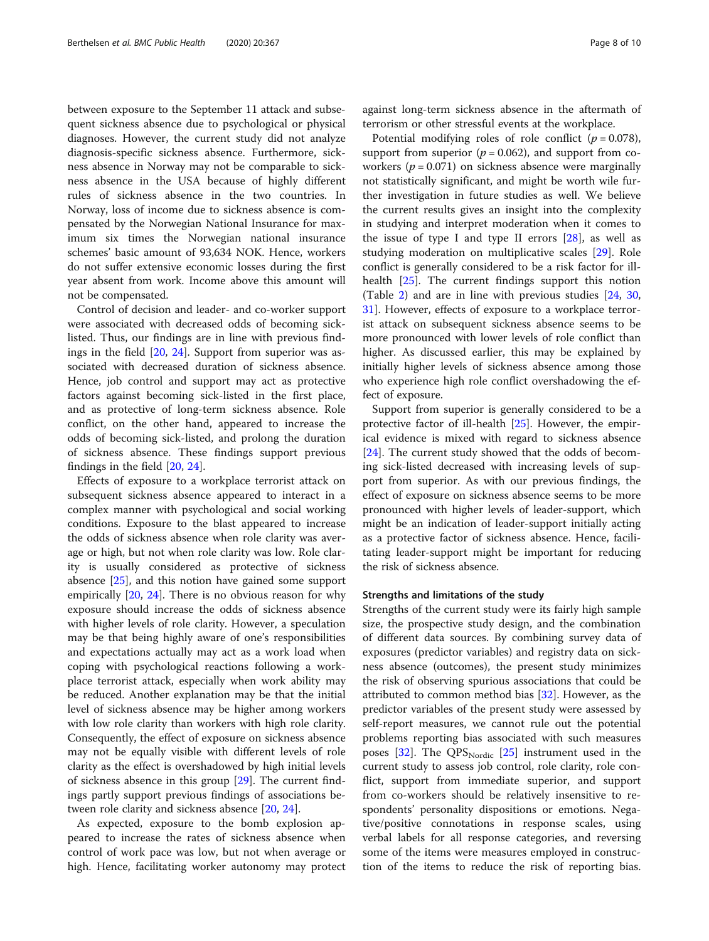between exposure to the September 11 attack and subsequent sickness absence due to psychological or physical diagnoses. However, the current study did not analyze diagnosis-specific sickness absence. Furthermore, sickness absence in Norway may not be comparable to sickness absence in the USA because of highly different rules of sickness absence in the two countries. In Norway, loss of income due to sickness absence is compensated by the Norwegian National Insurance for maximum six times the Norwegian national insurance schemes' basic amount of 93,634 NOK. Hence, workers do not suffer extensive economic losses during the first year absent from work. Income above this amount will not be compensated.

Control of decision and leader- and co-worker support were associated with decreased odds of becoming sicklisted. Thus, our findings are in line with previous findings in the field [\[20,](#page-9-0) [24](#page-9-0)]. Support from superior was associated with decreased duration of sickness absence. Hence, job control and support may act as protective factors against becoming sick-listed in the first place, and as protective of long-term sickness absence. Role conflict, on the other hand, appeared to increase the odds of becoming sick-listed, and prolong the duration of sickness absence. These findings support previous findings in the field [[20](#page-9-0), [24](#page-9-0)].

Effects of exposure to a workplace terrorist attack on subsequent sickness absence appeared to interact in a complex manner with psychological and social working conditions. Exposure to the blast appeared to increase the odds of sickness absence when role clarity was average or high, but not when role clarity was low. Role clarity is usually considered as protective of sickness absence [\[25](#page-9-0)], and this notion have gained some support empirically [\[20](#page-9-0), [24](#page-9-0)]. There is no obvious reason for why exposure should increase the odds of sickness absence with higher levels of role clarity. However, a speculation may be that being highly aware of one's responsibilities and expectations actually may act as a work load when coping with psychological reactions following a workplace terrorist attack, especially when work ability may be reduced. Another explanation may be that the initial level of sickness absence may be higher among workers with low role clarity than workers with high role clarity. Consequently, the effect of exposure on sickness absence may not be equally visible with different levels of role clarity as the effect is overshadowed by high initial levels of sickness absence in this group [[29](#page-9-0)]. The current findings partly support previous findings of associations between role clarity and sickness absence [[20](#page-9-0), [24](#page-9-0)].

As expected, exposure to the bomb explosion appeared to increase the rates of sickness absence when control of work pace was low, but not when average or high. Hence, facilitating worker autonomy may protect

against long-term sickness absence in the aftermath of terrorism or other stressful events at the workplace.

Potential modifying roles of role conflict  $(p = 0.078)$ , support from superior ( $p = 0.062$ ), and support from coworkers ( $p = 0.071$ ) on sickness absence were marginally not statistically significant, and might be worth wile further investigation in future studies as well. We believe the current results gives an insight into the complexity in studying and interpret moderation when it comes to the issue of type I and type II errors  $[28]$ , as well as studying moderation on multiplicative scales [[29\]](#page-9-0). Role conflict is generally considered to be a risk factor for illhealth [[25](#page-9-0)]. The current findings support this notion (Table [2\)](#page-5-0) and are in line with previous studies [[24](#page-9-0), [30](#page-9-0), [31\]](#page-9-0). However, effects of exposure to a workplace terrorist attack on subsequent sickness absence seems to be more pronounced with lower levels of role conflict than higher. As discussed earlier, this may be explained by initially higher levels of sickness absence among those who experience high role conflict overshadowing the effect of exposure.

Support from superior is generally considered to be a protective factor of ill-health [\[25](#page-9-0)]. However, the empirical evidence is mixed with regard to sickness absence [[24\]](#page-9-0). The current study showed that the odds of becoming sick-listed decreased with increasing levels of support from superior. As with our previous findings, the effect of exposure on sickness absence seems to be more pronounced with higher levels of leader-support, which might be an indication of leader-support initially acting as a protective factor of sickness absence. Hence, facilitating leader-support might be important for reducing the risk of sickness absence.

# Strengths and limitations of the study

Strengths of the current study were its fairly high sample size, the prospective study design, and the combination of different data sources. By combining survey data of exposures (predictor variables) and registry data on sickness absence (outcomes), the present study minimizes the risk of observing spurious associations that could be attributed to common method bias [[32\]](#page-9-0). However, as the predictor variables of the present study were assessed by self-report measures, we cannot rule out the potential problems reporting bias associated with such measures poses [[32\]](#page-9-0). The  $QPS<sub>Notic</sub>$  [[25](#page-9-0)] instrument used in the current study to assess job control, role clarity, role conflict, support from immediate superior, and support from co-workers should be relatively insensitive to respondents' personality dispositions or emotions. Negative/positive connotations in response scales, using verbal labels for all response categories, and reversing some of the items were measures employed in construction of the items to reduce the risk of reporting bias.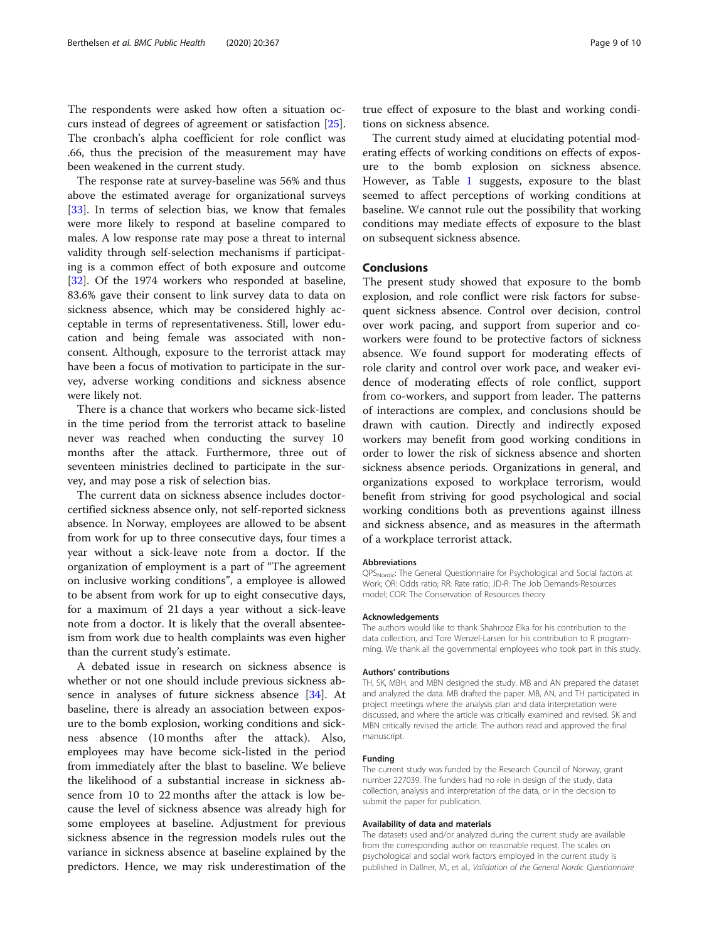The respondents were asked how often a situation occurs instead of degrees of agreement or satisfaction [\[25](#page-9-0)]. The cronbach's alpha coefficient for role conflict was .66, thus the precision of the measurement may have been weakened in the current study.

The response rate at survey-baseline was 56% and thus above the estimated average for organizational surveys [[33\]](#page-9-0). In terms of selection bias, we know that females were more likely to respond at baseline compared to males. A low response rate may pose a threat to internal validity through self-selection mechanisms if participating is a common effect of both exposure and outcome [[32\]](#page-9-0). Of the 1974 workers who responded at baseline, 83.6% gave their consent to link survey data to data on sickness absence, which may be considered highly acceptable in terms of representativeness. Still, lower education and being female was associated with nonconsent. Although, exposure to the terrorist attack may have been a focus of motivation to participate in the survey, adverse working conditions and sickness absence were likely not.

There is a chance that workers who became sick-listed in the time period from the terrorist attack to baseline never was reached when conducting the survey 10 months after the attack. Furthermore, three out of seventeen ministries declined to participate in the survey, and may pose a risk of selection bias.

The current data on sickness absence includes doctorcertified sickness absence only, not self-reported sickness absence. In Norway, employees are allowed to be absent from work for up to three consecutive days, four times a year without a sick-leave note from a doctor. If the organization of employment is a part of "The agreement on inclusive working conditions", a employee is allowed to be absent from work for up to eight consecutive days, for a maximum of 21 days a year without a sick-leave note from a doctor. It is likely that the overall absenteeism from work due to health complaints was even higher than the current study's estimate.

A debated issue in research on sickness absence is whether or not one should include previous sickness absence in analyses of future sickness absence [[34\]](#page-9-0). At baseline, there is already an association between exposure to the bomb explosion, working conditions and sickness absence (10 months after the attack). Also, employees may have become sick-listed in the period from immediately after the blast to baseline. We believe the likelihood of a substantial increase in sickness absence from 10 to 22 months after the attack is low because the level of sickness absence was already high for some employees at baseline. Adjustment for previous sickness absence in the regression models rules out the variance in sickness absence at baseline explained by the predictors. Hence, we may risk underestimation of the true effect of exposure to the blast and working conditions on sickness absence.

The current study aimed at elucidating potential moderating effects of working conditions on effects of exposure to the bomb explosion on sickness absence. However, as Table [1](#page-5-0) suggests, exposure to the blast seemed to affect perceptions of working conditions at baseline. We cannot rule out the possibility that working conditions may mediate effects of exposure to the blast on subsequent sickness absence.

# Conclusions

The present study showed that exposure to the bomb explosion, and role conflict were risk factors for subsequent sickness absence. Control over decision, control over work pacing, and support from superior and coworkers were found to be protective factors of sickness absence. We found support for moderating effects of role clarity and control over work pace, and weaker evidence of moderating effects of role conflict, support from co-workers, and support from leader. The patterns of interactions are complex, and conclusions should be drawn with caution. Directly and indirectly exposed workers may benefit from good working conditions in order to lower the risk of sickness absence and shorten sickness absence periods. Organizations in general, and organizations exposed to workplace terrorism, would benefit from striving for good psychological and social working conditions both as preventions against illness and sickness absence, and as measures in the aftermath of a workplace terrorist attack.

#### **Abbreviations**

QPS<sub>Nordic</sub>: The General Questionnaire for Psychological and Social factors at Work; OR: Odds ratio; RR: Rate ratio; JD-R: The Job Demands-Resources model; COR: The Conservation of Resources theory

#### Acknowledgements

The authors would like to thank Shahrooz Elka for his contribution to the data collection, and Tore Wenzel-Larsen for his contribution to R programming. We thank all the governmental employees who took part in this study.

#### Authors' contributions

TH, SK, MBH, and MBN designed the study. MB and AN prepared the dataset and analyzed the data. MB drafted the paper. MB, AN, and TH participated in project meetings where the analysis plan and data interpretation were discussed, and where the article was critically examined and revised. SK and MBN critically revised the article. The authors read and approved the final manuscript.

#### Funding

The current study was funded by the Research Council of Norway, grant number 227039. The funders had no role in design of the study, data collection, analysis and interpretation of the data, or in the decision to submit the paper for publication.

#### Availability of data and materials

The datasets used and/or analyzed during the current study are available from the corresponding author on reasonable request. The scales on psychological and social work factors employed in the current study is published in Dallner, M., et al., Validation of the General Nordic Questionnaire